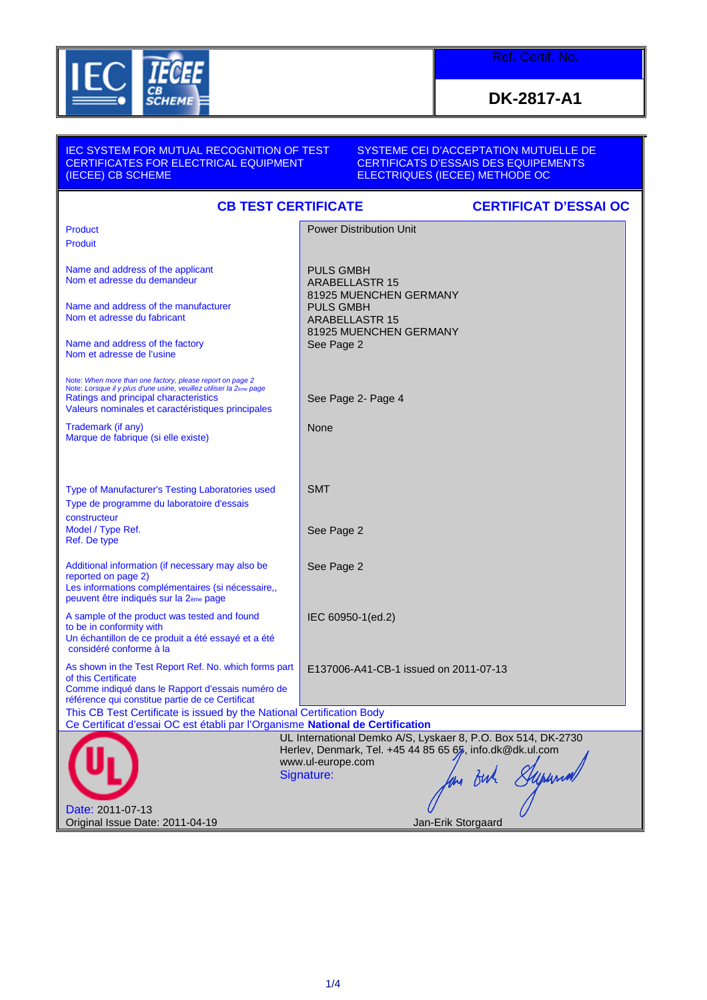

**DK-2817-A1**

| <b>IEC SYSTEM FOR MUTUAL RECOGNITION OF TEST</b><br><b>CERTIFICATES FOR ELECTRICAL EQUIPMENT</b><br>(IECEE) CB SCHEME                                                                                                                      | SYSTEME CEI D'ACCEPTATION MUTUELLE DE<br><b>CERTIFICATS D'ESSAIS DES EQUIPEMENTS</b><br><b>ELECTRIQUES (IECEE) METHODE OC</b>                                                 |
|--------------------------------------------------------------------------------------------------------------------------------------------------------------------------------------------------------------------------------------------|-------------------------------------------------------------------------------------------------------------------------------------------------------------------------------|
| <b>CB TEST CERTIFICATE</b>                                                                                                                                                                                                                 | <b>CERTIFICAT D'ESSAI OC</b>                                                                                                                                                  |
| Product<br><b>Produit</b>                                                                                                                                                                                                                  | <b>Power Distribution Unit</b>                                                                                                                                                |
| Name and address of the applicant<br>Nom et adresse du demandeur                                                                                                                                                                           | <b>PULS GMBH</b><br><b>ARABELLASTR 15</b><br>81925 MUENCHEN GERMANY                                                                                                           |
| Name and address of the manufacturer<br>Nom et adresse du fabricant                                                                                                                                                                        | <b>PULS GMBH</b><br><b>ARABELLASTR 15</b><br>81925 MUENCHEN GERMANY                                                                                                           |
| Name and address of the factory<br>Nom et adresse de l'usine                                                                                                                                                                               | See Page 2                                                                                                                                                                    |
| Note: When more than one factory, please report on page 2<br>Note: Lorsque il y plus d'une usine, veuillez utiliser la 2 <sub>ème</sub> page<br>Ratings and principal characteristics<br>Valeurs nominales et caractéristiques principales | See Page 2- Page 4                                                                                                                                                            |
| Trademark (if any)<br>Marque de fabrique (si elle existe)                                                                                                                                                                                  | None                                                                                                                                                                          |
| Type of Manufacturer's Testing Laboratories used<br>Type de programme du laboratoire d'essais<br>constructeur                                                                                                                              | <b>SMT</b>                                                                                                                                                                    |
| Model / Type Ref.<br>Ref. De type                                                                                                                                                                                                          | See Page 2                                                                                                                                                                    |
| Additional information (if necessary may also be<br>reported on page 2)<br>Les informations complémentaires (si nécessaire,,<br>peuvent être indiqués sur la 2ème page                                                                     | See Page 2                                                                                                                                                                    |
| A sample of the product was tested and found<br>to be in conformity with<br>Un échantillon de ce produit a été essayé et a été<br>considéré conforme à la                                                                                  | IEC 60950-1(ed.2)                                                                                                                                                             |
| As shown in the Test Report Ref. No. which forms part   E137006-A41-CB-1 issued on 2011-07-13<br>of this Certificate<br>Comme indiqué dans le Rapport d'essais numéro de<br>référence qui constitue partie de ce Certificat                |                                                                                                                                                                               |
| This CB Test Certificate is issued by the National Certification Body<br>Ce Certificat d'essai OC est établi par l'Organisme National de Certification                                                                                     |                                                                                                                                                                               |
| Date: 2011-07-13                                                                                                                                                                                                                           | UL International Demko A/S, Lyskaer 8, P.O. Box 514, DK-2730<br>Herlev, Denmark, Tel. +45 44 85 65 65, info.dk@dk.ul.com<br>www.ul-europe.com<br>n Buh Supernal<br>Signature: |
| Original Issue Date: 2011-04-19                                                                                                                                                                                                            | Jan-Erik Storgaard                                                                                                                                                            |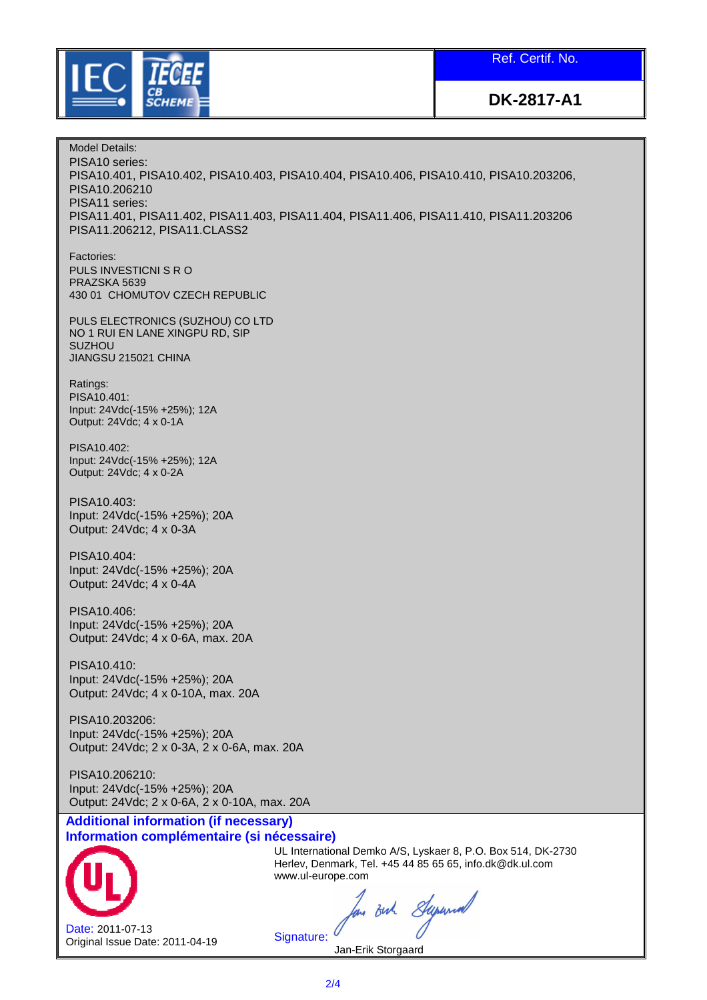Ref. Certif. No.



**DK-2817-A1**

Model Details: PISA10 series: PISA10.401, PISA10.402, PISA10.403, PISA10.404, PISA10.406, PISA10.410, PISA10.203206, PISA10.206210 PISA11 series: PISA11.401, PISA11.402, PISA11.403, PISA11.404, PISA11.406, PISA11.410, PISA11.203206 PISA11.206212, PISA11.CLASS2 Factories: PULS INVESTICNI S R O PRAZSKA 5639 430 01 CHOMUTOV CZECH REPUBLIC PULS ELECTRONICS (SUZHOU) CO LTD NO 1 RUI EN LANE XINGPU RD, SIP SUZHOU JIANGSU 215021 CHINA Ratings: PISA10.401: Input: 24Vdc(-15% +25%); 12A Output: 24Vdc; 4 x 0-1A PISA10.402: Input: 24Vdc(-15% +25%); 12A Output: 24Vdc; 4 x 0-2A PISA10.403: Input: 24Vdc(-15% +25%); 20A Output: 24Vdc; 4 x 0-3A PISA10.404: Input: 24Vdc(-15% +25%); 20A Output: 24Vdc; 4 x 0-4A PISA10.406: Input: 24Vdc(-15% +25%); 20A Output: 24Vdc; 4 x 0-6A, max. 20A PISA10.410: Input: 24Vdc(-15% +25%); 20A Output: 24Vdc; 4 x 0-10A, max. 20A PISA10.203206: Input: 24Vdc(-15% +25%); 20A Output: 24Vdc; 2 x 0-3A, 2 x 0-6A, max. 20A PISA10.206210: Input: 24Vdc(-15% +25%); 20A Output: 24Vdc; 2 x 0-6A, 2 x 0-10A, max. 20A **Additional information (if necessary) Information complémentaire (si nécessaire)** UL International Demko A/S, Lyskaer 8, P.O. Box 514, DK-2730 Herlev, Denmark, Tel. +45 44 85 65 65, info.dk@dk.ul.com www.ul-europe.com

Date: 2011-07-13 Original Issue Date: 2011-04-19

an out Superior

Signature: Jan-Erik Storgaard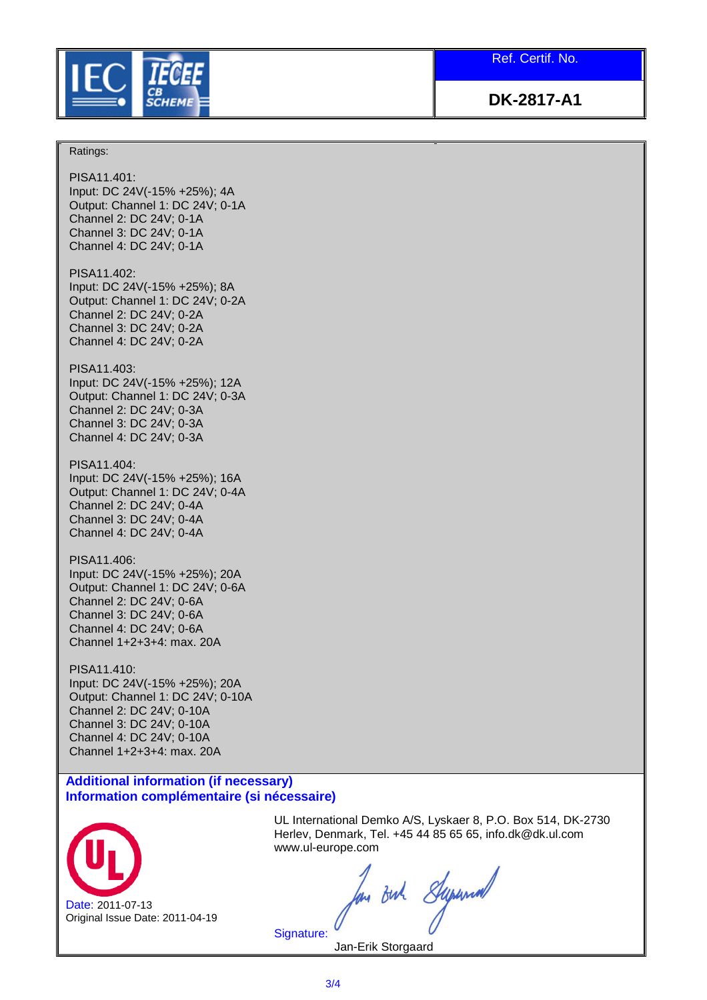

Ref. Certif. No.

**DK-2817-A1**

## Ratings:

PISA11.401: Input: DC 24V(-15% +25%); 4A Output: Channel 1: DC 24V; 0-1A Channel 2: DC 24V; 0-1A Channel 3: DC 24V; 0-1A Channel 4: DC 24V; 0-1A

PISA11.402: Input: DC 24V(-15% +25%); 8A Output: Channel 1: DC 24V; 0-2A Channel 2: DC 24V; 0-2A Channel 3: DC 24V; 0-2A Channel 4: DC 24V; 0-2A

## PISA11.403:

Input: DC 24V(-15% +25%); 12A Output: Channel 1: DC 24V; 0-3A Channel 2: DC 24V; 0-3A Channel 3: DC 24V; 0-3A Channel 4: DC 24V; 0-3A

PISA11.404: Input: DC 24V(-15% +25%); 16A Output: Channel 1: DC 24V; 0-4A Channel 2: DC 24V; 0-4A Channel 3: DC 24V; 0-4A Channel 4: DC 24V; 0-4A

PISA11.406: Input: DC 24V(-15% +25%); 20A Output: Channel 1: DC 24V; 0-6A Channel 2: DC 24V; 0-6A Channel 3: DC 24V; 0-6A Channel 4: DC 24V; 0-6A Channel 1+2+3+4: max. 20A

PISA11.410: Input: DC 24V(-15% +25%); 20A Output: Channel 1: DC 24V; 0-10A Channel 2: DC 24V; 0-10A Channel 3: DC 24V; 0-10A Channel 4: DC 24V; 0-10A Channel 1+2+3+4: max. 20A

## **Additional information (if necessary) Information complémentaire (si nécessaire)**



UL International Demko A/S, Lyskaer 8, P.O. Box 514, DK-2730 Herlev, Denmark, Tel. +45 44 85 65 65, info.dk@dk.ul.com www.ul-europe.com

m out Superior

Jan-Erik Storgaard

Signature: